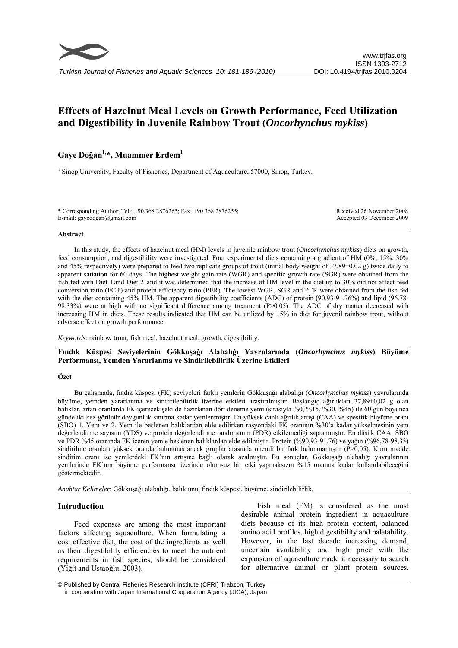

# **Effects of Hazelnut Meal Levels on Growth Performance, Feed Utilization and Digestibility in Juvenile Rainbow Trout (***Oncorhynchus mykiss***)**

## **Gaye Doğan1,\*, Muammer Erdem1**

<sup>1</sup> Sinop University, Faculty of Fisheries, Department of Aquaculture, 57000, Sinop, Turkey.

\* Corresponding Author: Tel.: +90.368 2876265; Fax: +90.368 2876255; E-mail: gayedogan@gmail.com

Received 26 November 2008 Accepted 03 December 2009

#### **Abstract**

In this study, the effects of hazelnut meal (HM) levels in juvenile rainbow trout (*Oncorhynchus mykiss*) diets on growth, feed consumption, and digestibility were investigated. Four experimental diets containing a gradient of HM (0%, 15%, 30% and 45% respectively) were prepared to feed two replicate groups of trout (initial body weight of 37.89±0.02 g) twice daily to apparent satiation for 60 days. The highest weight gain rate (WGR) and specific growth rate (SGR) were obtained from the fish fed with Diet 1 and Diet 2 and it was determined that the increase of HM level in the diet up to 30% did not affect feed conversion ratio (FCR) and protein efficiency ratio (PER). The lowest WGR, SGR and PER were obtained from the fish fed with the diet containing 45% HM. The apparent digestibility coefficients (ADC) of protein (90.93-91.76%) and lipid (96.78-98.33%) were at high with no significant difference among treatment (P>0.05). The ADC of dry matter decreased with increasing HM in diets. These results indicated that HM can be utilized by 15% in diet for juvenil rainbow trout, without adverse effect on growth performance.

*Keywords*: rainbow trout, fish meal, hazelnut meal, growth, digestibility.

**Fındık Küspesi Seviyelerinin Gökkuşağı Alabalığı Yavrularında (***Oncorhynchus mykiss***) Büyüme Performansı, Yemden Yararlanma ve Sindirilebilirlik Üzerine Etkileri** 

## **Özet**

Bu çalışmada, fındık küspesi (FK) seviyeleri farklı yemlerin Gökkuşağı alabalığı (*Oncorhynchus mykiss*) yavrularında büyüme, yemden yararlanma ve sindirilebilirlik üzerine etkileri araştırılmıştır. Başlangıç ağırlıkları 37,89±0,02 g olan balıklar, artan oranlarda FK içerecek şekilde hazırlanan dört deneme yemi (sırasıyla %0, %15, %30, %45) ile 60 gün boyunca günde iki kez görünür doygunluk sınırına kadar yemlenmiştir. En yüksek canlı ağırlık artışı (CAA) ve spesifik büyüme oranı (SBO) 1. Yem ve 2. Yem ile beslenen balıklardan elde edilirken rasyondaki FK oranının %30'a kadar yükselmesinin yem değerlendirme sayısını (YDS) ve protein değerlendirme randımanını (PDR) etkilemediği saptanmıştır. En düşük CAA, SBO ve PDR %45 oranında FK içeren yemle beslenen balıklardan elde edilmiştir. Protein (%90,93-91,76) ve yağın (%96,78-98,33) sindirilme oranları yüksek oranda bulunmuş ancak gruplar arasında önemli bir fark bulunmamıştır (P>0,05). Kuru madde sindirim oranı ise yemlerdeki FK'nın artışına bağlı olarak azalmıştır. Bu sonuçlar, Gökkuşağı alabalığı yavrularının yemlerinde FK'nın büyüme performansı üzerinde olumsuz bir etki yapmaksızın %15 oranına kadar kullanılabileceğini göstermektedir.

*Anahtar Kelimeler*: Gökkuşağı alabalığı, balık unu, fındık küspesi, büyüme, sindirilebilirlik.

## **Introduction**

Feed expenses are among the most important factors affecting aquaculture. When formulating a cost effective diet, the cost of the ingredients as well as their digestibility efficiencies to meet the nutrient requirements in fish species, should be considered (Yiğit and Ustaoğlu, 2003).

Fish meal (FM) is considered as the most desirable animal protein ingredient in aquaculture diets because of its high protein content, balanced amino acid profiles, high digestibility and palatability. However, in the last decade increasing demand, uncertain availability and high price with the expansion of aquaculture made it necessary to search for alternative animal or plant protein sources.

 © Published by Central Fisheries Research Institute (CFRI) Trabzon, Turkey in cooperation with Japan International Cooperation Agency (JICA), Japan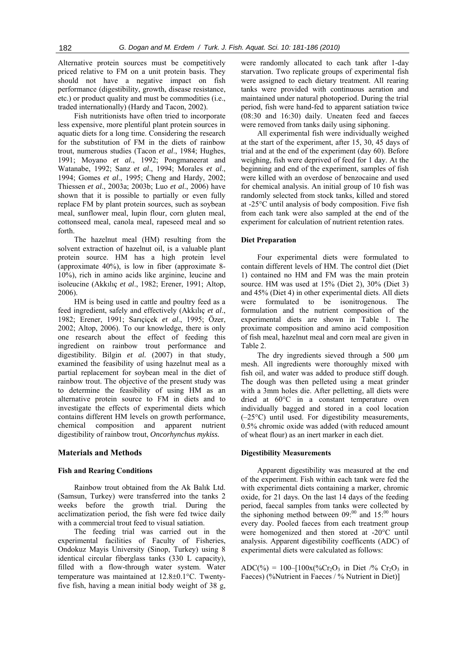Alternative protein sources must be competitively priced relative to FM on a unit protein basis. They should not have a negative impact on fish performance (digestibility, growth, disease resistance, etc.) or product quality and must be commodities (i.e., traded internationally) (Hardy and Tacon, 2002).

Fish nutritionists have often tried to incorporate less expensive, more plentiful plant protein sources in aquatic diets for a long time. Considering the research for the substitution of FM in the diets of rainbow trout, numerous studies (Tacon *et al*., 1984; Hughes, 1991; Moyano *et al*., 1992; Pongmaneerat and Watanabe, 1992; Sanz *et al*., 1994; Morales *et al*., 1994; Gomes *et al*., 1995; Cheng and Hardy, 2002; Thiessen *et al*., 2003a; 2003b; Luo *et al*., 2006) have shown that it is possible to partially or even fully replace FM by plant protein sources, such as soybean meal, sunflower meal, lupin flour, corn gluten meal, cottonseed meal, canola meal, rapeseed meal and so forth.

The hazelnut meal (HM) resulting from the solvent extraction of hazelnut oil, is a valuable plant protein source. HM has a high protein level (approximate 40%), is low in fiber (approximate 8- 10%), rich in amino acids like arginine, leucine and isoleucine (Akkılıç *et al*., 1982; Erener, 1991; Altop, 2006).

HM is being used in cattle and poultry feed as a feed ingredient, safely and effectively (Akkılıç *et al*., 1982; Erener, 1991; Sarıçiçek *et al*., 1995; Özer, 2002; Altop, 2006). To our knowledge, there is only one research about the effect of feeding this ingredient on rainbow trout performance and digestibility. Bilgin *et al.* (2007) in that study, examined the feasibility of using hazelnut meal as a partial replacement for soybean meal in the diet of rainbow trout. The objective of the present study was to determine the feasibility of using HM as an alternative protein source to FM in diets and to investigate the effects of experimental diets which contains different HM levels on growth performance, chemical composition and apparent nutrient digestibility of rainbow trout, *Oncorhynchus mykiss.*

## **Materials and Methods**

## **Fish and Rearing Conditions**

Rainbow trout obtained from the Ak Balık Ltd. (Samsun, Turkey) were transferred into the tanks 2 weeks before the growth trial. During the acclimatization period, the fish were fed twice daily with a commercial trout feed to visual satiation.

The feeding trial was carried out in the experimental facilities of Faculty of Fisheries, Ondokuz Mayis University (Sinop, Turkey) using 8 identical circular fiberglass tanks (330 L capacity), filled with a flow-through water system. Water temperature was maintained at 12.8±0.1°C. Twentyfive fish, having a mean initial body weight of 38 g, were randomly allocated to each tank after 1-day starvation. Two replicate groups of experimental fish were assigned to each dietary treatment. All rearing tanks were provided with continuous aeration and maintained under natural photoperiod. During the trial period, fish were hand-fed to apparent satiation twice (08:30 and 16:30) daily. Uneaten feed and faeces were removed from tanks daily using siphoning.

All experimental fish were individually weighed at the start of the experiment, after 15, 30, 45 days of trial and at the end of the experiment (day 60). Before weighing, fish were deprived of feed for 1 day. At the beginning and end of the experiment, samples of fish were killed with an overdose of benzocaine and used for chemical analysis. An initial group of 10 fish was randomly selected from stock tanks, killed and stored at -25°C until analysis of body composition. Five fish from each tank were also sampled at the end of the experiment for calculation of nutrient retention rates.

## **Diet Preparation**

Four experimental diets were formulated to contain different levels of HM. The control diet (Diet 1) contained no HM and FM was the main protein source. HM was used at 15% (Diet 2), 30% (Diet 3) and 45% (Diet 4) in other experimental diets. All diets were formulated to be isonitrogenous. The formulation and the nutrient composition of the experimental diets are shown in Table 1. The proximate composition and amino acid composition of fish meal, hazelnut meal and corn meal are given in Table 2.

The dry ingredients sieved through a 500 μm mesh. All ingredients were thoroughly mixed with fish oil, and water was added to produce stiff dough. The dough was then pelleted using a meat grinder with a 3mm holes die. After pelletting, all diets were dried at 60°C in a constant temperature oven individually bagged and stored in a cool location (–25°C) until used. For digestibility measurements, 0.5% chromic oxide was added (with reduced amount of wheat flour) as an inert marker in each diet.

#### **Digestibility Measurements**

Apparent digestibility was measured at the end of the experiment. Fish within each tank were fed the with experimental diets containing a marker, chromic oxide, for 21 days. On the last 14 days of the feeding period, faecal samples from tanks were collected by the siphoning method between  $09$ <sup> $.00$ </sup> and  $15$ <sup> $.00$ </sup> hours every day. Pooled faeces from each treatment group were homogenized and then stored at -20°C until analysis. Apparent digestibility coefficents (ADC) of experimental diets were calculated as follows:

ADC(%) = 100–[100x(%Cr<sub>2</sub>O<sub>3</sub> in Diet /% Cr<sub>2</sub>O<sub>3</sub> in Faeces) (%Nutrient in Faeces / % Nutrient in Diet)]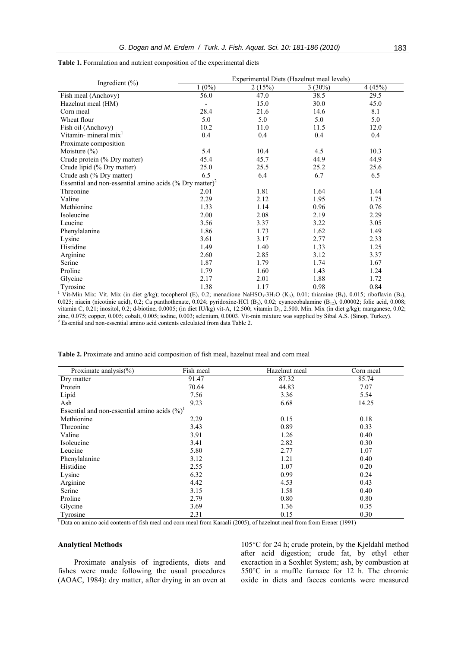| Ingredient $(\% )$                                                     | Experimental Diets (Hazelnut meal levels)                                                                                                                                                            |        |           |        |  |
|------------------------------------------------------------------------|------------------------------------------------------------------------------------------------------------------------------------------------------------------------------------------------------|--------|-----------|--------|--|
|                                                                        | $1(0\%)$                                                                                                                                                                                             | 2(15%) | $3(30\%)$ | 4(45%) |  |
| Fish meal (Anchovy)                                                    | 56.0                                                                                                                                                                                                 | 47.0   | 38.5      | 29.5   |  |
| Hazelnut meal (HM)                                                     |                                                                                                                                                                                                      | 15.0   | 30.0      | 45.0   |  |
| Corn meal                                                              | 28.4                                                                                                                                                                                                 | 21.6   | 14.6      | 8.1    |  |
| Wheat flour                                                            | 5.0                                                                                                                                                                                                  | 5.0    | 5.0       | 5.0    |  |
| Fish oil (Anchovy)                                                     | 10.2                                                                                                                                                                                                 | 11.0   | 11.5      | 12.0   |  |
| Vitamin-mineral mix <sup>1</sup>                                       | 0.4                                                                                                                                                                                                  | 0.4    | 0.4       | 0.4    |  |
| Proximate composition                                                  |                                                                                                                                                                                                      |        |           |        |  |
| Moisture $(\% )$                                                       | 5.4                                                                                                                                                                                                  | 10.4   | 4.5       | 10.3   |  |
| Crude protein (% Dry matter)                                           | 45.4                                                                                                                                                                                                 | 45.7   | 44.9      | 44.9   |  |
| Crude lipid (% Dry matter)                                             | 25.0                                                                                                                                                                                                 | 25.5   | 25.2      | 25.6   |  |
| Crude ash (% Dry matter)                                               | 6.5                                                                                                                                                                                                  | 6.4    | 6.7       | 6.5    |  |
| Essential and non-essential amino acids $(\%$ Dry matter) <sup>2</sup> |                                                                                                                                                                                                      |        |           |        |  |
| Threonine                                                              | 2.01                                                                                                                                                                                                 | 1.81   | 1.64      | 1.44   |  |
| Valine                                                                 | 2.29                                                                                                                                                                                                 | 2.12   | 1.95      | 1.75   |  |
| Methionine                                                             | 1.33                                                                                                                                                                                                 | 1.14   | 0.96      | 0.76   |  |
| Isoleucine                                                             | 2.00                                                                                                                                                                                                 | 2.08   | 2.19      | 2.29   |  |
| Leucine                                                                | 3.56                                                                                                                                                                                                 | 3.37   | 3.22      | 3.05   |  |
| Phenylalanine                                                          | 1.86                                                                                                                                                                                                 | 1.73   | 1.62      | 1.49   |  |
| Lysine                                                                 | 3.61                                                                                                                                                                                                 | 3.17   | 2.77      | 2.33   |  |
| Histidine                                                              | 1.49                                                                                                                                                                                                 | 1.40   | 1.33      | 1.25   |  |
| Arginine                                                               | 2.60                                                                                                                                                                                                 | 2.85   | 3.12      | 3.37   |  |
| Serine                                                                 | 1.87                                                                                                                                                                                                 | 1.79   | 1.74      | 1.67   |  |
| Proline                                                                | 1.79                                                                                                                                                                                                 | 1.60   | 1.43      | 1.24   |  |
| Glycine                                                                | 2.17                                                                                                                                                                                                 | 2.01   | 1.88      | 1.72   |  |
| Tyrosine                                                               | 1.38                                                                                                                                                                                                 | 1.17   | 0.98      | 0.84   |  |
|                                                                        | Vit-Min Mix: Vit. Mix (in diet g/kg); tocopherol (E), 0.2; menadione NaHSO <sub>3</sub> -3H <sub>2</sub> O (K <sub>3</sub> ), 0.01; thiamine (B <sub>1</sub> ), 0.015; riboflavin (B <sub>2</sub> ), |        |           |        |  |

**Table 1.** Formulation and nutrient composition of the experimental diets

0.025; niacin (nicotinic acid), 0.2; Ca panthothenate, 0.024; pyridoxine-HCl  $(B_6)$ , 0.02; cyanocobalamine  $(B_{12})$ , 0.00002; folic acid, 0.008; vitamin C, 0.21; inositol, 0.2; d-biotine, 0.0005; (in diet IU/kg) vit-A, 12.500; vitamin D<sub>3</sub>, 2.500. Min. Mix (in diet g/kg); manganese, 0.02; zinc, 0.075; copper, 0.005; cobalt, 0.005; iodine, 0.003; selenium, 0.0003. Vit-min mixture was supplied by Sibal A.S. (Sinop, Turkey). **2** Essential and non-essential amino acid contents calculated from data Table 2.

**Table 2.** Proximate and amino acid composition of fish meal, hazelnut meal and corn meal

| Proximate analysis( $\%$ )                       | Fish meal | Hazelnut meal | Corn meal |
|--------------------------------------------------|-----------|---------------|-----------|
| Dry matter                                       | 91.47     | 87.32         | 85.74     |
| Protein                                          | 70.64     | 44.83         | 7.07      |
| Lipid                                            | 7.56      | 3.36          | 5.54      |
| Ash                                              | 9.23      | 6.68          | 14.25     |
| Essential and non-essential amino acids $(\%)^1$ |           |               |           |
| Methionine                                       | 2.29      | 0.15          | 0.18      |
| Threonine                                        | 3.43      | 0.89          | 0.33      |
| Valine                                           | 3.91      | 1.26          | 0.40      |
| Isoleucine                                       | 3.41      | 2.82          | 0.30      |
| Leucine                                          | 5.80      | 2.77          | 1.07      |
| Phenylalanine                                    | 3.12      | 1.21          | 0.40      |
| Histidine                                        | 2.55      | 1.07          | 0.20      |
| Lysine                                           | 6.32      | 0.99          | 0.24      |
| Arginine                                         | 4.42      | 4.53          | 0.43      |
| Serine                                           | 3.15      | 1.58          | 0.40      |
| Proline                                          | 2.79      | 0.80          | 0.80      |
| Glycine                                          | 3.69      | 1.36          | 0.35      |
| Tyrosine                                         | 2.31      | 0.15          | 0.30      |

<sup>1</sup> Data on amino acid contents of fish meal and corn meal from Karaali (2005), of hazelnut meal from from Erener (1991)

## **Analytical Methods**

Proximate analysis of ingredients, diets and fishes were made following the usual procedures (AOAC, 1984): dry matter, after drying in an oven at

105°C for 24 h; crude protein, by the Kjeldahl method after acid digestion; crude fat, by ethyl ether excraction in a Soxhlet System; ash, by combustion at 550°C in a muffle furnace for 12 h. The chromic oxide in diets and faeces contents were measured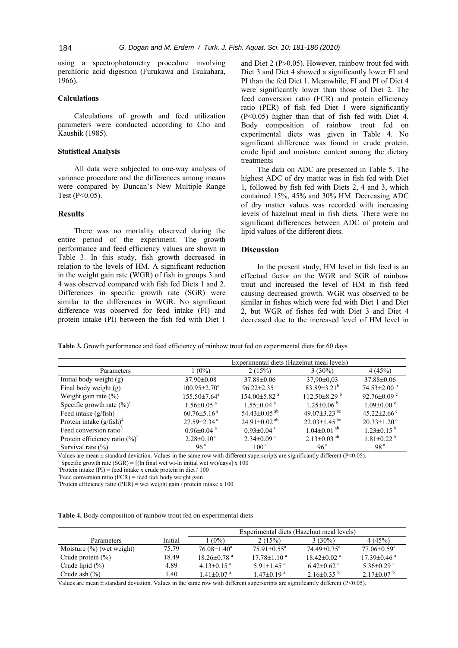using a spectrophotometry procedure involving perchloric acid digestion (Furukawa and Tsukahara, 1966).

## **Calculations**

Calculations of growth and feed utilization parameters were conducted according to Cho and Kaushik (1985).

#### **Statistical Analysis**

All data were subjected to one-way analysis of variance procedure and the differences among means were compared by Duncan's New Multiple Range Test  $(P<0.05)$ .

#### **Results**

There was no mortality observed during the entire period of the experiment. The growth performance and feed efficiency values are shown in Table 3. In this study, fish growth decreased in relation to the levels of HM. A significant reduction in the weight gain rate (WGR) of fish in groups 3 and 4 was observed compared with fish fed Diets 1 and 2. Differences in specific growth rate (SGR) were similar to the differences in WGR. No significant difference was observed for feed intake (FI) and protein intake (PI) between the fish fed with Diet 1 and Diet 2 (P>0.05). However, rainbow trout fed with Diet 3 and Diet 4 showed a significantly lower FI and PI than the fed Diet 1. Meanwhile, FI and PI of Diet 4 were significantly lower than those of Diet 2. The feed conversion ratio (FCR) and protein efficiency ratio (PER) of fish fed Diet 1 were significantly (P<0.05) higher than that of fish fed with Diet 4. Body composition of rainbow trout fed on experimental diets was given in Table 4. No significant difference was found in crude protein, crude lipid and moisture content among the dietary treatments

The data on ADC are presented in Table 5. The highest ADC of dry matter was in fish fed with Diet 1, followed by fish fed with Diets 2, 4 and 3, which contained 15%, 45% and 30% HM. Decreasing ADC of dry matter values was recorded with increasing levels of hazelnut meal in fish diets. There were no significant differences between ADC of protein and lipid values of the different diets.

## **Discussion**

In the present study, HM level in fish feed is an effectual factor on the WGR and SGR of rainbow trout and increased the level of HM in fish feed causing decreased growth. WGR was observed to be similar in fishes which were fed with Diet 1 and Diet 2, but WGR of fishes fed with Diet 3 and Diet 4 decreased due to the increased level of HM level in

**Table 3.** Growth performance and feed efficiency of rainbow trout fed on experimental diets for 60 days

|                                    | Experimental diets (Hazelnut meal levels) |                                |                                |                               |
|------------------------------------|-------------------------------------------|--------------------------------|--------------------------------|-------------------------------|
| Parameters                         | $1(0\%)$                                  | 2(15%)                         | $3(30\%)$                      | 4(45%)                        |
| Initial body weight (g)            | 37.90±0.08                                | 37.88±0.06                     | $37.90 \pm 0.03$               | 37.88±0.06                    |
| Final body weight (g)              | $100.95 \pm 2.70^{\circ}$                 | $96.22 \pm 2.35$ <sup>a</sup>  | $83.89 \pm 3.21^b$             | 74.53 $\pm$ 2.00 $^{\circ}$   |
| Weight gain rate $(\% )$           | $155.50 \pm 7.64^a$                       | $154.00\pm5.82$ <sup>a</sup>   | $112.50\pm8.29^{b}$            | 92.76 $\pm$ 0.09 $\degree$    |
| Specific growth rate $(\%)^1$      | $1.56 \pm 0.05$ <sup>a</sup>              | $1.55 \pm 0.04$ <sup>a</sup>   | $1.25 \pm 0.06^{\mathrm{b}}$   | $1.09 \pm 0.00$ °             |
| Feed intake (g/fish)               | $60.76 \pm 5.16^{\text{a}}$               | 54.43 $\pm$ 0.05 <sup>ab</sup> | 49.07 $\pm$ 3.23 bc            | 45.22 $\pm$ 2.66 $\degree$    |
| Protein intake $(g/fish)^2$        | $27.59 \pm 2.34$ <sup>a</sup>             | 24.91 $\pm$ 0.02 <sup>ab</sup> | $22.03 \pm 1.45$ <sup>bc</sup> | $20.33 \pm 1.20$ <sup>c</sup> |
| Feed conversion ratio <sup>3</sup> | $0.96 \pm 0.04$ <sup>a</sup>              | $0.93 \pm 0.04$ <sup>a</sup>   | $1.04 \pm 0.01$ <sup>ab</sup>  | $1.23 \pm 0.15^{b}$           |
| Protein efficiency ratio $(\%)^4$  | $2.28 \pm 0.10^{\text{a}}$                | $2.34 \pm 0.09$ <sup>a</sup>   | $2.13 \pm 0.03$ <sup>ab</sup>  | $1.81 \pm 0.22^{b}$           |
| Survival rate $(\% )$              | 96 <sup>a</sup>                           | 100 <sup>a</sup>               | 96 <sup>a</sup>                | 98 <sup>a</sup>               |

Values are mean  $\pm$  standard deviation. Values in the same row with different superscripts are significantly different (P<0.05).

Specific growth rate  $(SGR) = [(ln final wet wt-ln initial wet wt)/days] x 100$ 

<sup>3</sup>Protein intake (PI) = feed intake x crude protein in diet  $/ 100$ 

<sup>4</sup> Feed conversion ratio (FCR) = feed fed/body weight gain  $^{4}$ Protein of ficiency ratio (BEB) = wet weight gain (protein in

<sup>4</sup>Protein efficiency ratio (PER) = wet weight gain / protein intake x 100

|  |  | Table 4. Body composition of rainbow trout fed on experimental diets |
|--|--|----------------------------------------------------------------------|
|  |  |                                                                      |

|                              |         | Experimental diets (Hazelnut meal levels) |                              |                               |                               |
|------------------------------|---------|-------------------------------------------|------------------------------|-------------------------------|-------------------------------|
| <b>Parameters</b>            | Initial | $(0\%)$                                   | 2(15%)                       | $3(30\%)$                     | 4(45%)                        |
| Moisture $(\%)$ (wet weight) | 75.79   | $76.08 \pm 1.40^a$                        | $75.91 \pm 0.55^{\text{a}}$  | $74.49 \pm 0.35$ <sup>a</sup> | 77.06±0.59 <sup>a</sup>       |
| Crude protein $(\%)$         | 18.49   | $18.26 \pm 0.78$ <sup>a</sup>             | $17.78 \pm 1.10^{\text{a}}$  | $18.42 \pm 0.02$ <sup>a</sup> | $17.39 \pm 0.46$ <sup>a</sup> |
| Crude lipid $(\%)$           | 4.89    | $4.13 \pm 0.15$ <sup>a</sup>              | 5.91 $\pm$ 1.45 <sup>a</sup> | $6.42 \pm 0.62$ <sup>a</sup>  | $5.36 \pm 0.29$ <sup>a</sup>  |
| Crude ash $(\% )$            | .40     | $1.41 \pm 0.07$ <sup>a</sup>              | $1.47 \pm 0.19$ <sup>a</sup> | $2.16\pm0.35^{b}$             | $2.17\pm0.07^{b}$             |

Values are mean  $\pm$  standard deviation. Values in the same row with different superscripts are significantly different (P<0.05).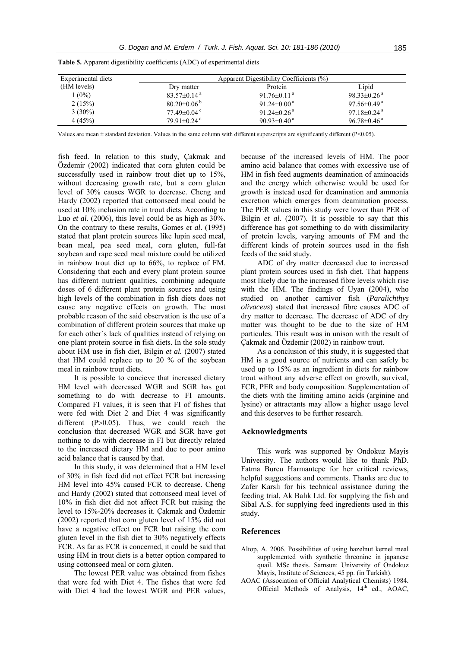| Experimental diets | Apparent Digestibility Coefficients (%) |                               |                               |  |
|--------------------|-----------------------------------------|-------------------------------|-------------------------------|--|
| (HM levels)        | Drv matter                              | Protein                       | Lipid                         |  |
| $(0\%)$            | $83.57\pm0.14$ <sup>a</sup>             | 91.76 $\pm$ 0.11 <sup>a</sup> | $98.33 \pm 0.26$ <sup>a</sup> |  |
| 2(15%)             | $80.20 \pm 0.06^{\mathrm{b}}$           | 91.24 $\pm$ 0.00 <sup>a</sup> | $97.56 \pm 0.49$ <sup>a</sup> |  |
| $3(30\%)$          | 77.49 $\pm$ 0.04 $\degree$              | $91.24 \pm 0.26$ <sup>a</sup> | $97.18 \pm 0.24$ <sup>a</sup> |  |
| 4(45%)             | 79.91 $\pm$ 0.24 <sup>d</sup>           | $90.93 \pm 0.40^{\text{a}}$   | $96.78 \pm 0.46$ <sup>a</sup> |  |

**Table 5.** Apparent digestibility coefficients (ADC) of experimental diets

Values are mean  $\pm$  standard deviation. Values in the same column with different superscripts are significantly different ( $P$ <0.05).

fish feed. In relation to this study, Çakmak and Özdemir (2002) indicated that corn gluten could be successfully used in rainbow trout diet up to 15%, without decreasing growth rate, but a corn gluten level of 30% causes WGR to decrease. Cheng and Hardy (2002) reported that cottonseed meal could be used at 10% inclusion rate in trout diets. According to Luo *et al.* (2006), this level could be as high as 30%. On the contrary to these results, Gomes *et al*. (1995) stated that plant protein sources like lupin seed meal, bean meal, pea seed meal, corn gluten, full-fat soybean and rape seed meal mixture could be utilized in rainbow trout diet up to 66%, to replace of FM. Considering that each and every plant protein source has different nutrient qualities, combining adequate doses of 6 different plant protein sources and using high levels of the combination in fish diets does not cause any negative effects on growth. The most probable reason of the said observation is the use of a combination of different protein sources that make up for each other`s lack of qualities instead of relying on one plant protein source in fish diets. In the sole study about HM use in fish diet, Bilgin *et al.* (2007) stated that HM could replace up to 20 % of the soybean meal in rainbow trout diets.

It is possible to concieve that increased dietary HM level with decreased WGR and SGR has got something to do with decrease to FI amounts. Compared FI values, it is seen that FI of fishes that were fed with Diet 2 and Diet 4 was significantly different (P>0.05). Thus, we could reach the conclusion that decreased WGR and SGR have got nothing to do with decrease in FI but directly related to the increased dietary HM and due to poor amino acid balance that is caused by that.

In this study, it was determined that a HM level of 30% in fish feed did not effect FCR but increasing HM level into 45% caused FCR to decrease. Cheng and Hardy (2002) stated that cottonseed meal level of 10% in fish diet did not affect FCR but raising the level to 15%-20% decreases it. Çakmak and Özdemir (2002) reported that corn gluten level of 15% did not have a negative effect on FCR but raising the corn gluten level in the fish diet to 30% negatively effects FCR. As far as FCR is concerned, it could be said that using HM in trout diets is a better option compared to using cottonseed meal or corn gluten.

The lowest PER value was obtained from fishes that were fed with Diet 4. The fishes that were fed with Diet 4 had the lowest WGR and PER values, because of the increased levels of HM. The poor amino acid balance that comes with excessive use of HM in fish feed augments deamination of aminoacids and the energy which otherwise would be used for growth is instead used for deamination and ammonia excretion which emerges from deamination process. The PER values in this study were lower than PER of Bilgin *et al.* (2007). It is possible to say that this difference has got something to do with dissimilarity of protein levels, varying amounts of FM and the different kinds of protein sources used in the fish feeds of the said study.

ADC of dry matter decreased due to increased plant protein sources used in fish diet. That happens most likely due to the increased fibre levels which rise with the HM. The findings of Uyan (2004), who studied on another carnivor fish (*Paralichthys olivaceus*) stated that increased fibre causes ADC of dry matter to decrease. The decrease of ADC of dry matter was thought to be due to the size of HM particules. This result was in unison with the result of Çakmak and Özdemir (2002) in rainbow trout.

As a conclusion of this study, it is suggested that HM is a good source of nutrients and can safely be used up to 15% as an ingredient in diets for rainbow trout without any adverse effect on growth, survival, FCR, PER and body composition. Supplementation of the diets with the limiting amino acids (arginine and lysine) or attractants may allow a higher usage level and this deserves to be further research.

## **Acknowledgments**

This work was supported by Ondokuz Mayis University. The authors would like to thank PhD. Fatma Burcu Harmantepe for her critical reviews, helpful suggestions and comments. Thanks are due to Zafer Karslı for his technical assistance during the feeding trial, Ak Balık Ltd. for supplying the fish and Sibal A.S. for supplying feed ingredients used in this study.

#### **References**

- Altop, A. 2006. Possibilities of using hazelnut kernel meal supplemented with synthetic threonine in japanese quail. MSc thesis. Samsun: University of Ondokuz Mayis, Institute of Sciences, 45 pp. (in Turkish).
- AOAC (Association of Official Analytical Chemists) 1984. Official Methods of Analysis,  $14<sup>th</sup>$  ed., AOAC,